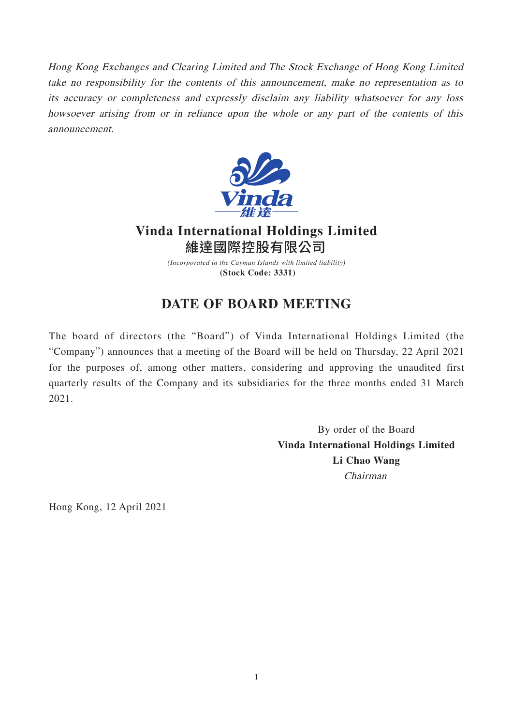Hong Kong Exchanges and Clearing Limited and The Stock Exchange of Hong Kong Limited take no responsibility for the contents of this announcement, make no representation as to its accuracy or completeness and expressly disclaim any liability whatsoever for any loss howsoever arising from or in reliance upon the whole or any part of the contents of this announcement.



## **Vinda International Holdings Limited** 維達國際控股有限公司

*(Incorporated in the Cayman Islands with limited liability)* **(Stock Code: 3331)**

## **DATE OF BOARD MEETING**

The board of directors (the "Board") of Vinda International Holdings Limited (the "Company") announces that a meeting of the Board will be held on Thursday, 22 April 2021 for the purposes of, among other matters, considering and approving the unaudited first quarterly results of the Company and its subsidiaries for the three months ended 31 March 2021.

> By order of the Board **Vinda International Holdings Limited Li Chao Wang** Chairman

Hong Kong, 12 April 2021